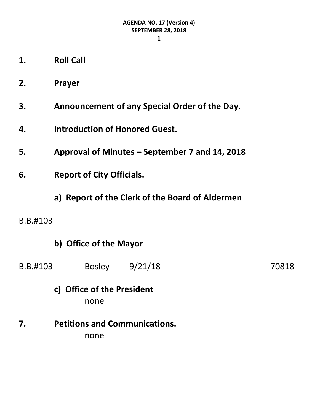- **1. Roll Call**
- **2. Prayer**
- **3. Announcement of any Special Order of the Day.**
- **4. Introduction of Honored Guest.**
- **5. Approval of Minutes – September 7 and 14, 2018**
- **6. Report of City Officials.**
	- **a) Report of the Clerk of the Board of Aldermen**
- B.B.#103

## **b) Office of the Mayor**

B.B.#103 Bosley 9/21/18 70818

## **c) Office of the President** none

**7. Petitions and Communications.**

none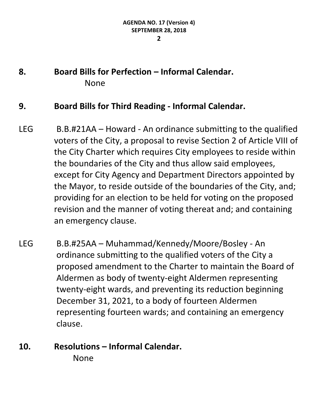## **8. Board Bills for Perfection – Informal Calendar.** None

#### **9. Board Bills for Third Reading - Informal Calendar.**

- LEG B.B.#21AA Howard An ordinance submitting to the qualified voters of the City, a proposal to revise Section 2 of Article VIII of the City Charter which requires City employees to reside within the boundaries of the City and thus allow said employees, except for City Agency and Department Directors appointed by the Mayor, to reside outside of the boundaries of the City, and; providing for an election to be held for voting on the proposed revision and the manner of voting thereat and; and containing an emergency clause.
- LEG B.B.#25AA Muhammad/Kennedy/Moore/Bosley An ordinance submitting to the qualified voters of the City a proposed amendment to the Charter to maintain the Board of Aldermen as body of twenty-eight Aldermen representing twenty-eight wards, and preventing its reduction beginning December 31, 2021, to a body of fourteen Aldermen representing fourteen wards; and containing an emergency clause.

## **10. Resolutions – Informal Calendar.** None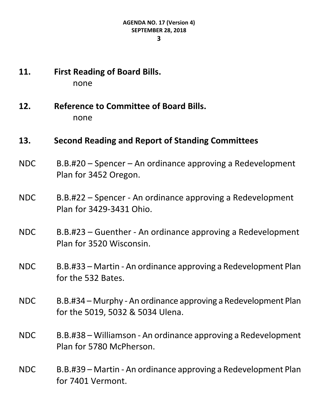- **11. First Reading of Board Bills.** none
- **12. Reference to Committee of Board Bills.** none

## **13. Second Reading and Report of Standing Committees**

- NDC B.B.#20 Spencer An ordinance approving a Redevelopment Plan for 3452 Oregon.
- NDC B.B.#22 Spencer An ordinance approving a Redevelopment Plan for 3429-3431 Ohio.
- NDC B.B.#23 Guenther An ordinance approving a Redevelopment Plan for 3520 Wisconsin.
- NDC B.B.#33 Martin An ordinance approving a Redevelopment Plan for the 532 Bates.
- NDC B.B.#34 Murphy An ordinance approving a Redevelopment Plan for the 5019, 5032 & 5034 Ulena.
- NDC B.B.#38 Williamson An ordinance approving a Redevelopment Plan for 5780 McPherson.
- NDC B.B.#39 Martin An ordinance approving a Redevelopment Plan for 7401 Vermont.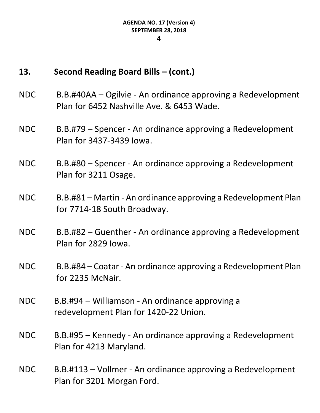## **13. Second Reading Board Bills – (cont.)**

- NDC B.B.#40AA Ogilvie An ordinance approving a Redevelopment Plan for 6452 Nashville Ave. & 6453 Wade.
- NDC B.B.#79 Spencer An ordinance approving a Redevelopment Plan for 3437-3439 Iowa.

NDC B.B.#80 – Spencer - An ordinance approving a Redevelopment Plan for 3211 Osage.

- NDC B.B.#81 Martin An ordinance approving a Redevelopment Plan for 7714-18 South Broadway.
- NDC B.B.#82 Guenther An ordinance approving a Redevelopment Plan for 2829 Iowa.
- NDC B.B.#84 Coatar An ordinance approving a Redevelopment Plan for 2235 McNair.
- NDC B.B.#94 Williamson An ordinance approving a redevelopment Plan for 1420-22 Union.
- NDC B.B.#95 Kennedy An ordinance approving a Redevelopment Plan for 4213 Maryland.
- NDC B.B.#113 Vollmer An ordinance approving a Redevelopment Plan for 3201 Morgan Ford.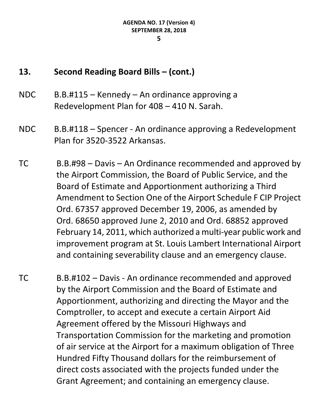# **13. Second Reading Board Bills – (cont.)**

- NDC B.B.#115 Kennedy An ordinance approving a Redevelopment Plan for 408 – 410 N. Sarah.
- NDC B.B.#118 Spencer An ordinance approving a Redevelopment Plan for 3520-3522 Arkansas.
- TC B.B.#98 Davis An Ordinance recommended and approved by the Airport Commission, the Board of Public Service, and the Board of Estimate and Apportionment authorizing a Third Amendment to Section One of the Airport Schedule F CIP Project Ord. 67357 approved December 19, 2006, as amended by Ord. 68650 approved June 2, 2010 and Ord. 68852 approved February 14, 2011, which authorized a multi-year public work and improvement program at St. Louis Lambert International Airport and containing severability clause and an emergency clause.
- TC B.B.#102 Davis An ordinance recommended and approved by the Airport Commission and the Board of Estimate and Apportionment, authorizing and directing the Mayor and the Comptroller, to accept and execute a certain Airport Aid Agreement offered by the Missouri Highways and Transportation Commission for the marketing and promotion of air service at the Airport for a maximum obligation of Three Hundred Fifty Thousand dollars for the reimbursement of direct costs associated with the projects funded under the Grant Agreement; and containing an emergency clause.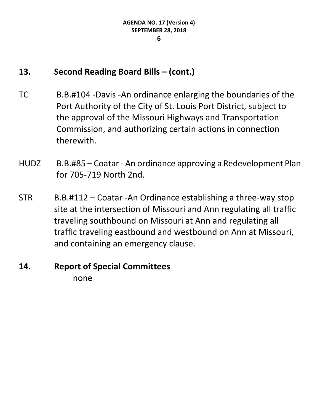## **13. Second Reading Board Bills – (cont.)**

- TC B.B.#104 -Davis -An ordinance enlarging the boundaries of the Port Authority of the City of St. Louis Port District, subject to the approval of the Missouri Highways and Transportation Commission, and authorizing certain actions in connection therewith.
- HUDZ B.B.#85 Coatar An ordinance approving a Redevelopment Plan for 705-719 North 2nd.
- STR B.B.#112 Coatar -An Ordinance establishing a three-way stop site at the intersection of Missouri and Ann regulating all traffic traveling southbound on Missouri at Ann and regulating all traffic traveling eastbound and westbound on Ann at Missouri, and containing an emergency clause.

#### **14. Report of Special Committees** none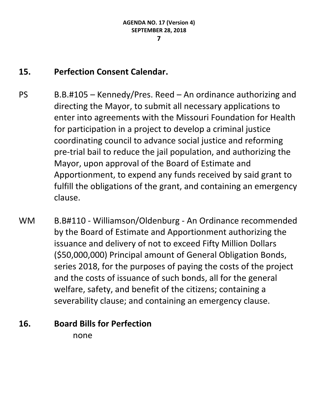## **15. Perfection Consent Calendar.**

- PS B.B.#105 Kennedy/Pres. Reed An ordinance authorizing and directing the Mayor, to submit all necessary applications to enter into agreements with the Missouri Foundation for Health for participation in a project to develop a criminal justice coordinating council to advance social justice and reforming pre-trial bail to reduce the jail population, and authorizing the Mayor, upon approval of the Board of Estimate and Apportionment, to expend any funds received by said grant to fulfill the obligations of the grant, and containing an emergency clause.
- WM B.B#110 Williamson/Oldenburg An Ordinance recommended by the Board of Estimate and Apportionment authorizing the issuance and delivery of not to exceed Fifty Million Dollars (\$50,000,000) Principal amount of General Obligation Bonds, series 2018, for the purposes of paying the costs of the project and the costs of issuance of such bonds, all for the general welfare, safety, and benefit of the citizens; containing a severability clause; and containing an emergency clause.

## **16. Board Bills for Perfection**

none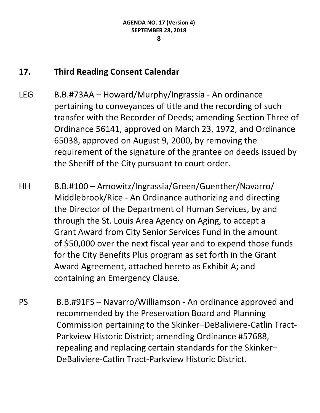## **17. Third Reading Consent Calendar**

- LEG B.B.#73AA Howard/Murphy/Ingrassia An ordinance pertaining to conveyances of title and the recording of such transfer with the Recorder of Deeds; amending Section Three of Ordinance 56141, approved on March 23, 1972, and Ordinance 65038, approved on August 9, 2000, by removing the requirement of the signature of the grantee on deeds issued by the Sheriff of the City pursuant to court order.
- HH B.B.#100 Arnowitz/Ingrassia/Green/Guenther/Navarro/ Middlebrook/Rice - An Ordinance authorizing and directing the Director of the Department of Human Services, by and through the St. Louis Area Agency on Aging, to accept a Grant Award from City Senior Services Fund in the amount of \$50,000 over the next fiscal year and to expend those funds for the City Benefits Plus program as set forth in the Grant Award Agreement, attached hereto as Exhibit A; and containing an Emergency Clause.
- PS B.B.#91FS Navarro/Williamson An ordinance approved and recommended by the Preservation Board and Planning Commission pertaining to the Skinker–DeBaliviere-Catlin Tract-Parkview Historic District; amending Ordinance #57688, repealing and replacing certain standards for the Skinker– DeBaliviere-Catlin Tract-Parkview Historic District.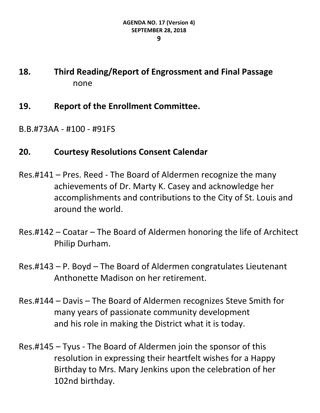## **18. Third Reading/Report of Engrossment and Final Passage** none

- **19. Report of the Enrollment Committee.**
- B.B.#73AA #100 #91FS

## **20. Courtesy Resolutions Consent Calendar**

- Res.#141 Pres. Reed The Board of Aldermen recognize the many achievements of Dr. Marty K. Casey and acknowledge her accomplishments and contributions to the City of St. Louis and around the world.
- Res.#142 Coatar The Board of Aldermen honoring the life of Architect Philip Durham.
- Res.#143 P. Boyd The Board of Aldermen congratulates Lieutenant Anthonette Madison on her retirement.
- Res.#144 Davis The Board of Aldermen recognizes Steve Smith for many years of passionate community development and his role in making the District what it is today.
- Res.#145 Tyus The Board of Aldermen join the sponsor of this resolution in expressing their heartfelt wishes for a Happy Birthday to Mrs. Mary Jenkins upon the celebration of her 102nd birthday.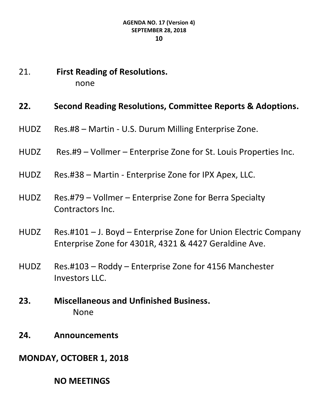21. **First Reading of Resolutions.** none

### **22. Second Reading Resolutions, Committee Reports & Adoptions.**

- HUDZ Res.#8 Martin U.S. Durum Milling Enterprise Zone.
- HUDZ Res.#9 Vollmer Enterprise Zone for St. Louis Properties Inc.
- HUDZ Res.#38 Martin Enterprise Zone for IPX Apex, LLC.
- HUDZ Res.#79 Vollmer Enterprise Zone for Berra Specialty Contractors Inc.
- HUDZ Res.#101 J. Boyd Enterprise Zone for Union Electric Company Enterprise Zone for 4301R, 4321 & 4427 Geraldine Ave.
- HUDZ Res.#103 Roddy Enterprise Zone for 4156 Manchester Investors LLC.
- **23. Miscellaneous and Unfinished Business.** None
- **24. Announcements**
- **MONDAY, OCTOBER 1, 2018**

**NO MEETINGS**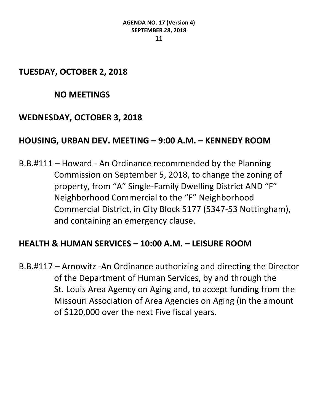## **TUESDAY, OCTOBER 2, 2018**

## **NO MEETINGS**

## **WEDNESDAY, OCTOBER 3, 2018**

## **HOUSING, URBAN DEV. MEETING – 9:00 A.M. – KENNEDY ROOM**

B.B.#111 – Howard - An Ordinance recommended by the Planning Commission on September 5, 2018, to change the zoning of property, from "A" Single-Family Dwelling District AND "F" Neighborhood Commercial to the "F" Neighborhood Commercial District, in City Block 5177 (5347-53 Nottingham), and containing an emergency clause.

## **HEALTH & HUMAN SERVICES – 10:00 A.M. – LEISURE ROOM**

B.B.#117 – Arnowitz -An Ordinance authorizing and directing the Director of the Department of Human Services, by and through the St. Louis Area Agency on Aging and, to accept funding from the Missouri Association of Area Agencies on Aging (in the amount of \$120,000 over the next Five fiscal years.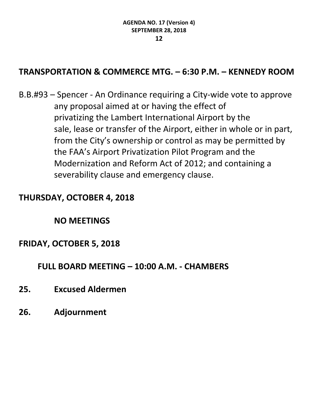## **TRANSPORTATION & COMMERCE MTG. – 6:30 P.M. – KENNEDY ROOM**

B.B.#93 – Spencer - An Ordinance requiring a City-wide vote to approve any proposal aimed at or having the effect of privatizing the Lambert International Airport by the sale, lease or transfer of the Airport, either in whole or in part, from the City's ownership or control as may be permitted by the FAA's Airport Privatization Pilot Program and the Modernization and Reform Act of 2012; and containing a severability clause and emergency clause.

## **THURSDAY, OCTOBER 4, 2018**

#### **NO MEETINGS**

## **FRIDAY, OCTOBER 5, 2018**

**FULL BOARD MEETING – 10:00 A.M. - CHAMBERS**

- **25. Excused Aldermen**
- **26. Adjournment**